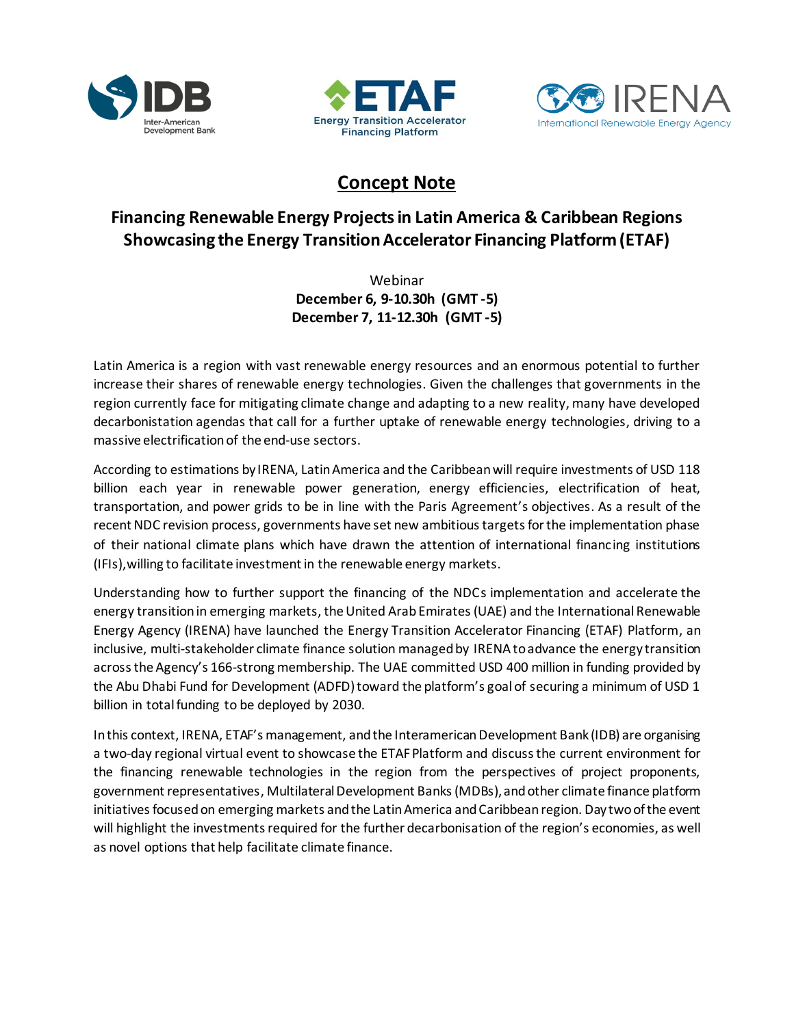





# **Concept Note**

## **Financing Renewable Energy Projects in Latin America & Caribbean Regions Showcasing the Energy Transition Accelerator Financing Platform (ETAF)**

Webinar **December 6, 9-10.30h (GMT -5) December 7, 11-12.30h (GMT -5)**

Latin America is a region with vast renewable energy resources and an enormous potential to further increase their shares of renewable energy technologies. Given the challenges that governments in the region currently face for mitigating climate change and adapting to a new reality, many have developed decarbonistation agendas that call for a further uptake of renewable energy technologies, driving to a massive electrification of the end-use sectors.

According to estimations by IRENA, Latin America and the Caribbean will require investments of USD 118 billion each year in renewable power generation, energy efficiencies, electrification of heat, transportation, and power grids to be in line with the Paris Agreement's objectives. As a result of the recent NDC revision process, governments have set new ambitious targets for the implementation phase of their national climate plans which have drawn the attention of international financing institutions (IFIs),willing to facilitate investment in the renewable energy markets.

Understanding how to further support the financing of the NDCs implementation and accelerate the energy transition in emerging markets, the United Arab Emirates(UAE) and the International Renewable Energy Agency (IRENA) have launched the Energy Transition Accelerator Financing (ETAF) Platform, an inclusive, multi-stakeholder climate finance solution managed by IRENAto advance the energy transition across the Agency's 166-strong membership. The UAE committed USD 400 million in funding provided by the Abu Dhabi Fund for Development (ADFD) toward the platform's goal of securing a minimum of USD 1 billion in total funding to be deployed by 2030.

In this context, IRENA, ETAF's management, and the Interamerican Development Bank (IDB) are organising a two-day regional virtual event to showcase the ETAF Platform and discuss the current environment for the financing renewable technologies in the region from the perspectives of project proponents, government representatives, Multilateral Development Banks (MDBs), and other climate finance platform initiatives focusedon emerging markets and the Latin America and Caribbean region. Day two of the event will highlight the investments required for the further decarbonisation of the region's economies, as well as novel options that help facilitate climate finance.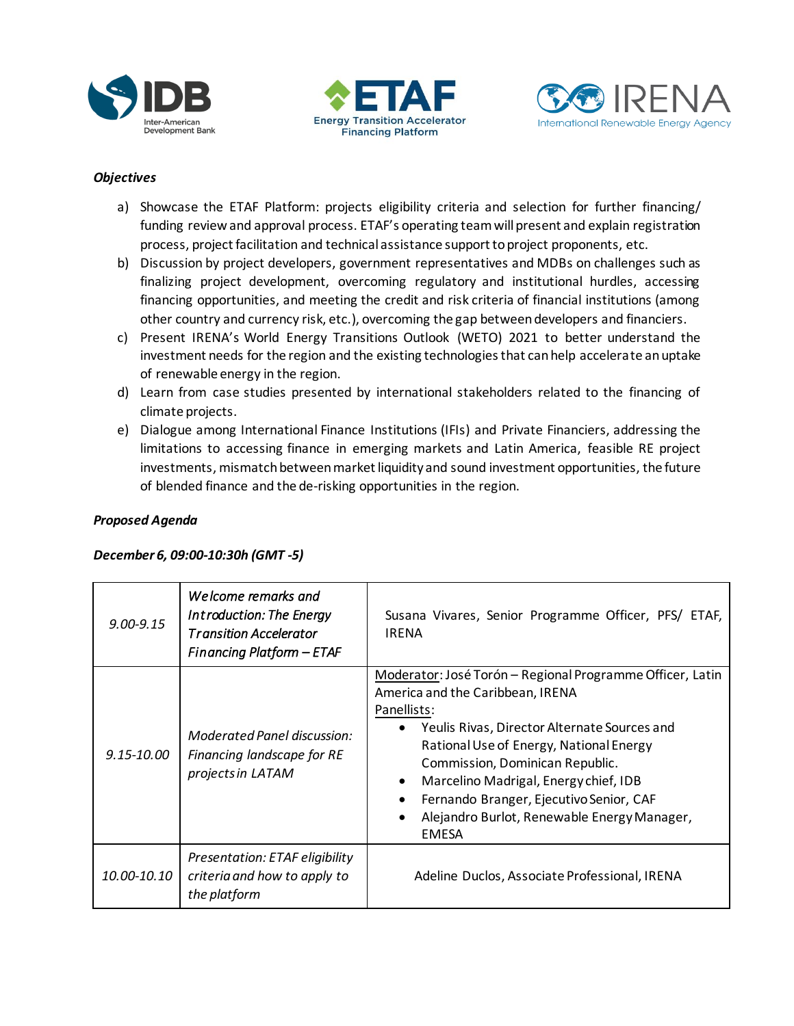





### *Objectives*

- a) Showcase the ETAF Platform: projects eligibility criteria and selection for further financing/ funding review and approval process. ETAF's operating team will present and explain registration process, project facilitation and technical assistance support to project proponents, etc.
- b) Discussion by project developers, government representatives and MDBs on challenges such as finalizing project development, overcoming regulatory and institutional hurdles, accessing financing opportunities, and meeting the credit and risk criteria of financial institutions (among other country and currency risk, etc.), overcoming the gap between developers and financiers.
- c) Present IRENA's World Energy Transitions Outlook (WETO) 2021 to better understand the investment needs for the region and the existing technologies that can help accelerate anuptake of renewable energy in the region.
- d) Learn from case studies presented by international stakeholders related to the financing of climate projects.
- e) Dialogue among International Finance Institutions (IFIs) and Private Financiers, addressing the limitations to accessing finance in emerging markets and Latin America, feasible RE project investments, mismatch between market liquidity and sound investment opportunities, the future of blended finance and the de-risking opportunities in the region.

#### *Proposed Agenda*

#### *December 6, 09:00-10:30h (GMT -5)*

| $9.00 - 9.15$  | Welcome remarks and<br>Introduction: The Energy<br><b>Transition Accelerator</b><br>Financing Platform - ETAF | Susana Vivares, Senior Programme Officer, PFS/ ETAF,<br><b>IRENA</b>                                                                                                                                                                                                                                                                                                                                                    |
|----------------|---------------------------------------------------------------------------------------------------------------|-------------------------------------------------------------------------------------------------------------------------------------------------------------------------------------------------------------------------------------------------------------------------------------------------------------------------------------------------------------------------------------------------------------------------|
| $9.15 - 10.00$ | Moderated Panel discussion:<br>Financing landscape for RE<br>projects in LATAM                                | Moderator: José Torón - Regional Programme Officer, Latin<br>America and the Caribbean, IRENA<br>Panellists:<br>Yeulis Rivas, Director Alternate Sources and<br>Rational Use of Energy, National Energy<br>Commission, Dominican Republic.<br>Marcelino Madrigal, Energy chief, IDB<br>$\bullet$<br>Fernando Branger, Ejecutivo Senior, CAF<br>Alejandro Burlot, Renewable Energy Manager,<br>$\bullet$<br><b>EMESA</b> |
| 10.00-10.10    | Presentation: ETAF eligibility<br>criteria and how to apply to<br>the platform                                | Adeline Duclos, Associate Professional, IRENA                                                                                                                                                                                                                                                                                                                                                                           |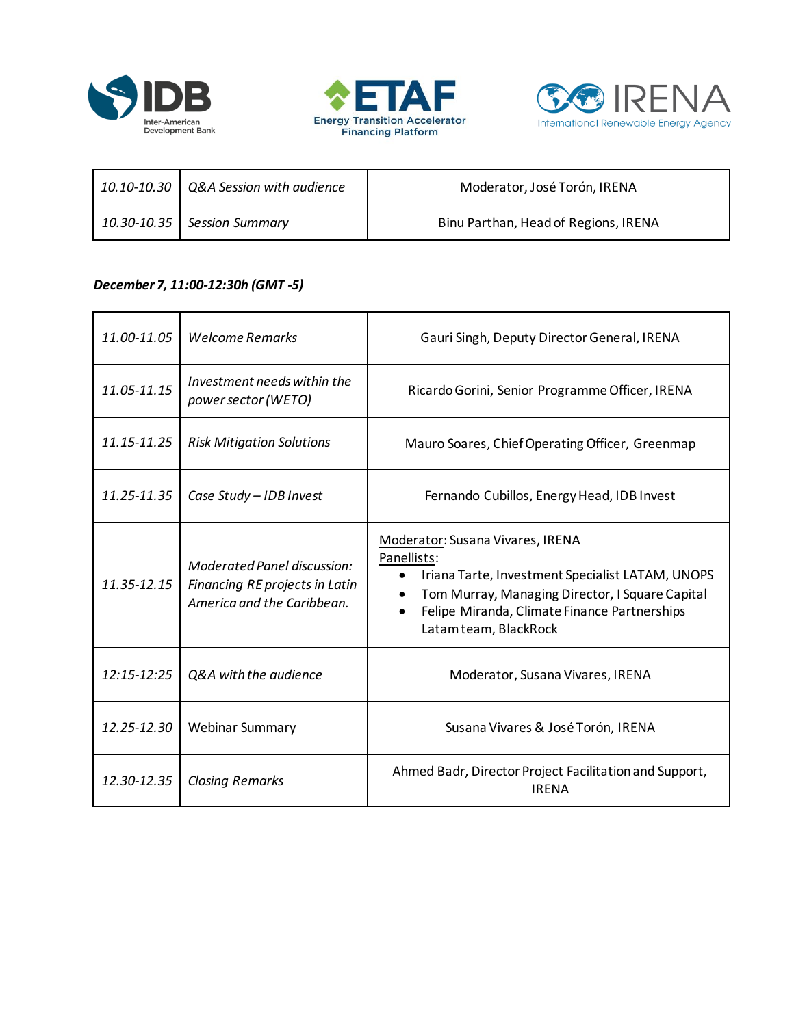





| $\mid$ 10.10-10.30 $\mid$ Q&A Session with audience | Moderator, José Torón, IRENA         |
|-----------------------------------------------------|--------------------------------------|
| 10.30-10.35 Session Summary                         | Binu Parthan, Head of Regions, IRENA |

### *December 7, 11:00-12:30h (GMT -5)*

| 11.00-11.05 | <b>Welcome Remarks</b>                                                                      | Gauri Singh, Deputy Director General, IRENA                                                                                                                                                                                                  |
|-------------|---------------------------------------------------------------------------------------------|----------------------------------------------------------------------------------------------------------------------------------------------------------------------------------------------------------------------------------------------|
| 11.05-11.15 | Investment needs within the<br>power sector (WETO)                                          | Ricardo Gorini, Senior Programme Officer, IRENA                                                                                                                                                                                              |
| 11.15-11.25 | <b>Risk Mitigation Solutions</b>                                                            | Mauro Soares, Chief Operating Officer, Greenmap                                                                                                                                                                                              |
| 11.25-11.35 | Case Study - IDB Invest                                                                     | Fernando Cubillos, Energy Head, IDB Invest                                                                                                                                                                                                   |
| 11.35-12.15 | Moderated Panel discussion:<br>Financing RE projects in Latin<br>America and the Caribbean. | Moderator: Susana Vivares, IRENA<br>Panellists:<br>Iriana Tarte, Investment Specialist LATAM, UNOPS<br>$\bullet$<br>Tom Murray, Managing Director, I Square Capital<br>Felipe Miranda, Climate Finance Partnerships<br>Latam team, BlackRock |
| 12:15-12:25 | Q&A with the audience                                                                       | Moderator, Susana Vivares, IRENA                                                                                                                                                                                                             |
| 12.25-12.30 | <b>Webinar Summary</b>                                                                      | Susana Vivares & José Torón, IRENA                                                                                                                                                                                                           |
| 12.30-12.35 | <b>Closing Remarks</b>                                                                      | Ahmed Badr, Director Project Facilitation and Support,<br><b>IRENA</b>                                                                                                                                                                       |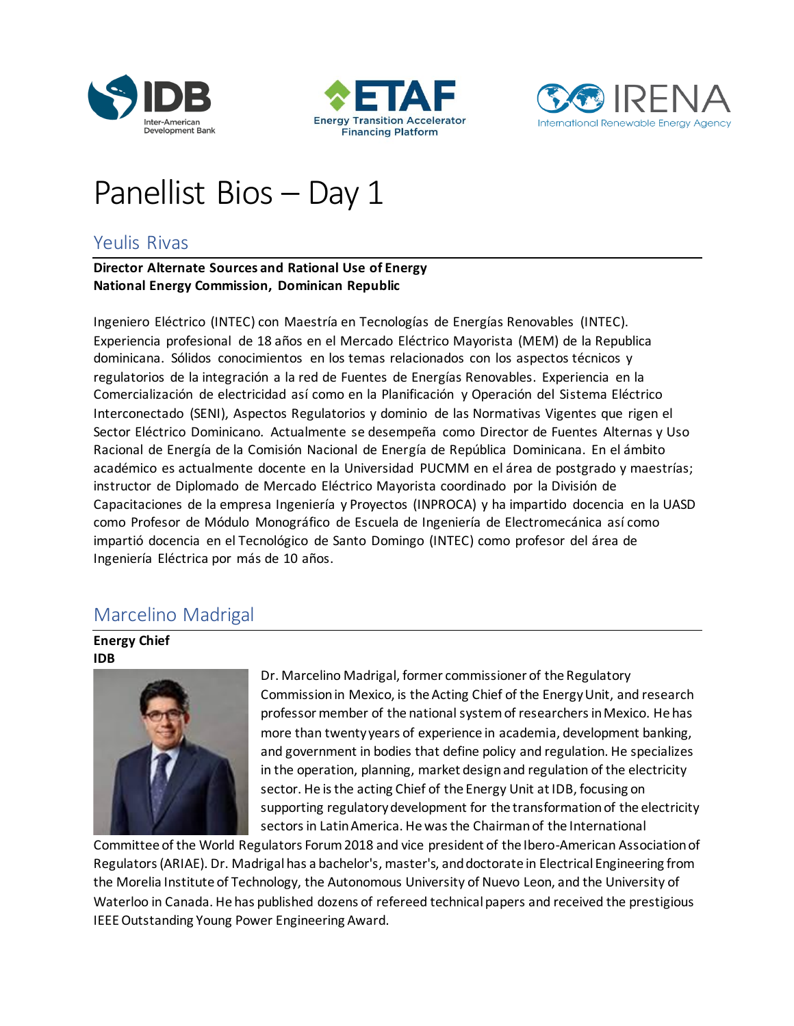





# Panellist Bios – Day 1

## Yeulis Rivas

#### **Director Alternate Sources and Rational Use of Energy National Energy Commission, Dominican Republic**

Ingeniero Eléctrico (INTEC) con Maestría en Tecnologías de Energías Renovables (INTEC). Experiencia profesional de 18 años en el Mercado Eléctrico Mayorista (MEM) de la Republica dominicana. Sólidos conocimientos en los temas relacionados con los aspectos técnicos y regulatorios de la integración a la red de Fuentes de Energías Renovables. Experiencia en la Comercialización de electricidad así como en la Planificación y Operación del Sistema Eléctrico Interconectado (SENI), Aspectos Regulatorios y dominio de las Normativas Vigentes que rigen el Sector Eléctrico Dominicano. Actualmente se desempeña como Director de Fuentes Alternas y Uso Racional de Energía de la Comisión Nacional de Energía de República Dominicana. En el ámbito académico es actualmente docente en la Universidad PUCMM en el área de postgrado y maestrías; instructor de Diplomado de Mercado Eléctrico Mayorista coordinado por la División de Capacitaciones de la empresa Ingeniería y Proyectos (INPROCA) y ha impartido docencia en la UASD como Profesor de Módulo Monográfico de Escuela de Ingeniería de Electromecánica así como impartió docencia en el Tecnológico de Santo Domingo (INTEC) como profesor del área de Ingeniería Eléctrica por más de 10 años.

## Marcelino Madrigal

#### **Energy Chief IDB**



Dr. Marcelino Madrigal, former commissioner of the Regulatory Commission in Mexico, is the Acting Chief of the Energy Unit, and research professor member of the national system of researchers in Mexico. He has more than twenty years of experience in academia, development banking, and government in bodies that define policy and regulation. He specializes in the operation, planning, market design and regulation of the electricity sector. He is the acting Chief of the Energy Unit at IDB, focusing on supporting regulatory development for the transformation of the electricity sectors in Latin America. He was the Chairman of the International

Committee of the World Regulators Forum 2018 and vice president of the Ibero-American Association of Regulators (ARIAE). Dr. Madrigal has a bachelor's, master's, and doctorate in Electrical Engineering from the Morelia Institute of Technology, the Autonomous University of Nuevo Leon, and the University of Waterloo in Canada. He has published dozens of refereed technical papers and received the prestigious IEEE Outstanding Young Power Engineering Award.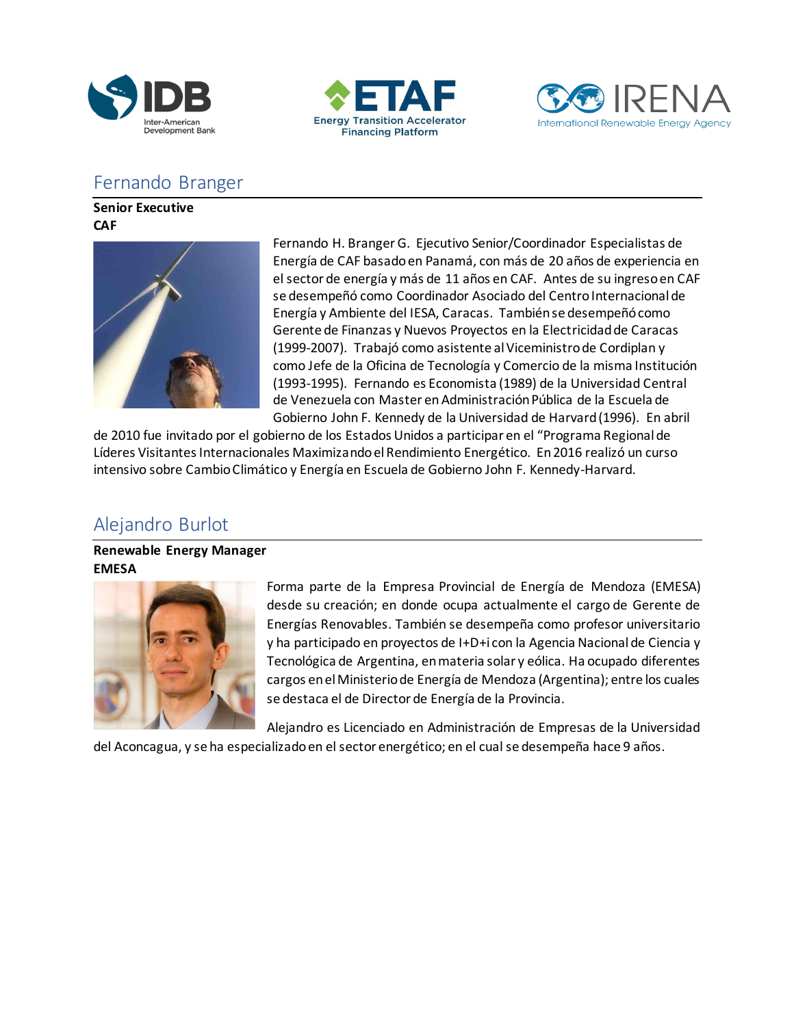





# Fernando Branger

**Senior Executive CAF**



Fernando H. Branger G. Ejecutivo Senior/Coordinador Especialistas de Energía de CAF basado en Panamá, con más de 20 años de experiencia en el sector de energía y más de 11 años en CAF. Antes de su ingreso en CAF se desempeñó como Coordinador Asociado del Centro Internacional de Energía y Ambiente del IESA, Caracas. También se desempeñó como Gerente de Finanzas y Nuevos Proyectos en la Electricidad de Caracas (1999-2007). Trabajó como asistente al Viceministro de Cordiplan y como Jefe de la Oficina de Tecnología y Comercio de la misma Institución (1993-1995). Fernando es Economista (1989) de la Universidad Central de Venezuela con Master en Administración Pública de la Escuela de Gobierno John F. Kennedy de la Universidad de Harvard (1996). En abril

de 2010 fue invitado por el gobierno de los Estados Unidos a participar en el "Programa Regional de Líderes Visitantes Internacionales Maximizando el Rendimiento Energético. En 2016 realizó un curso intensivo sobre Cambio Climático y Energía en Escuela de Gobierno John F. Kennedy-Harvard.

# Alejandro Burlot

### **Renewable Energy Manager EMESA**



Forma parte de la Empresa Provincial de Energía de Mendoza (EMESA) desde su creación; en donde ocupa actualmente el cargo de Gerente de Energías Renovables. También se desempeña como profesor universitario y ha participado en proyectos de I+D+i con la Agencia Nacional de Ciencia y Tecnológica de Argentina, en materia solar y eólica. Ha ocupado diferentes cargos en el Ministerio de Energía de Mendoza (Argentina); entre los cuales se destaca el de Director de Energía de la Provincia.

Alejandro es Licenciado en Administración de Empresas de la Universidad del Aconcagua, y se ha especializado en el sector energético; en el cual se desempeña hace 9 años.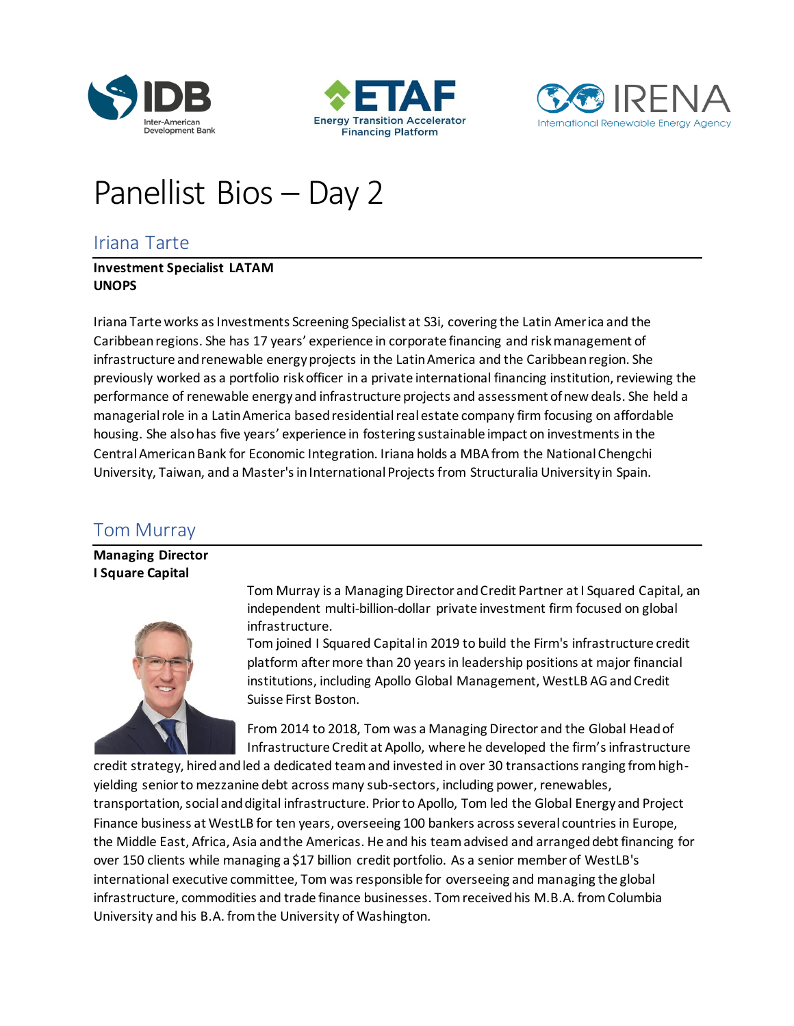





# Panellist Bios – Day 2

## Iriana Tarte

#### **Investment Specialist LATAM UNOPS**

Iriana Tarte works as Investments Screening Specialist at S3i, covering the Latin America and the Caribbean regions. She has 17 years' experience in corporate financing and risk management of infrastructure and renewable energy projects in the Latin America and the Caribbean region. She previously worked as a portfolio risk officer in a private international financing institution, reviewing the performance of renewable energy and infrastructure projects and assessment of new deals. She held a managerial role in a Latin America based residential real estate company firm focusing on affordable housing. She also has five years' experience in fostering sustainable impact on investments in the Central American Bank for Economic Integration. Iriana holds a MBA from the National Chengchi University, Taiwan, and a Master's in International Projects from Structuralia University in Spain.

## Tom Murray

**Managing Director I Square Capital**



Tom Murray is a Managing Director and Credit Partner at I Squared Capital, an independent multi-billion-dollar private investment firm focused on global infrastructure.

Tom joined I Squared Capital in 2019 to build the Firm's infrastructure credit platform after more than 20 years in leadership positions at major financial institutions, including Apollo Global Management, WestLB AG and Credit Suisse First Boston.

From 2014 to 2018, Tom was a Managing Director and the Global Head of Infrastructure Credit at Apollo, where he developed the firm's infrastructure

credit strategy, hired and led a dedicated team and invested in over 30 transactions ranging from highyielding senior to mezzanine debt across many sub-sectors, including power, renewables, transportation, social and digital infrastructure. Prior to Apollo, Tom led the Global Energy and Project Finance business at WestLB for ten years, overseeing 100 bankers across several countries in Europe, the Middle East, Africa, Asia and the Americas. He and his team advised and arranged debt financing for over 150 clients while managing a \$17 billion credit portfolio. As a senior member of WestLB's international executive committee, Tom was responsible for overseeing and managing the global infrastructure, commodities and trade finance businesses. Tom received his M.B.A. from Columbia University and his B.A. from the University of Washington.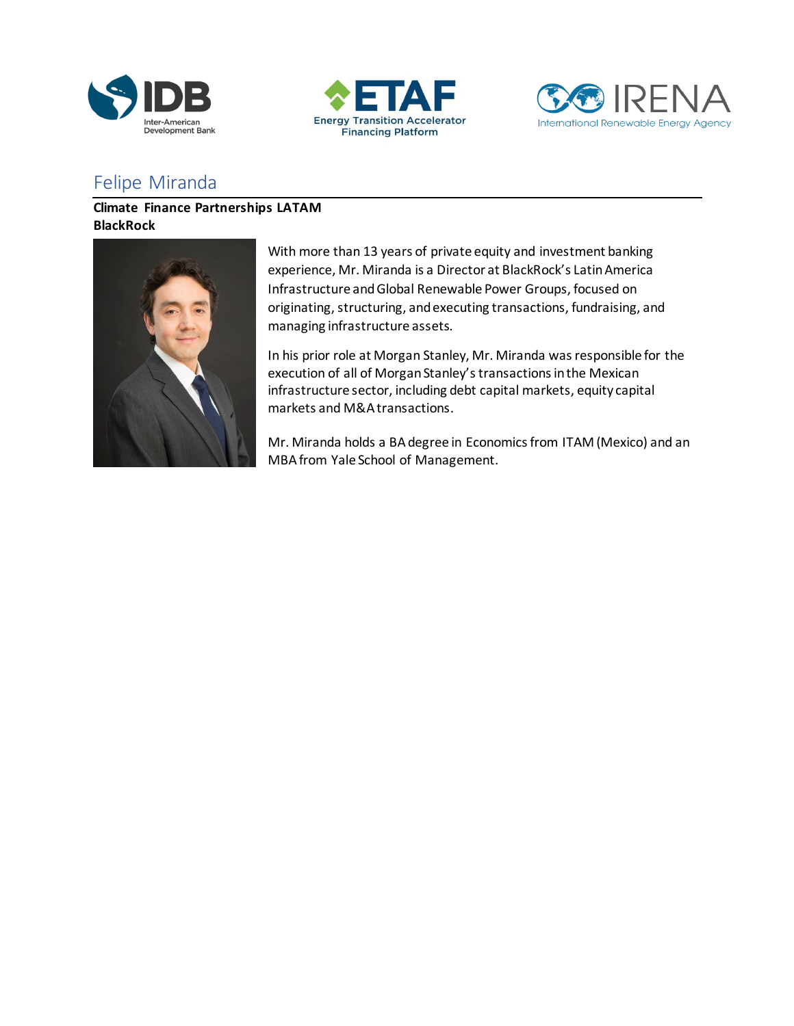





# Felipe Miranda

### **Climate Finance Partnerships LATAM BlackRock**



With more than 13 years of private equity and investment banking experience, Mr. Miranda is a Director at BlackRock's Latin America Infrastructure and Global Renewable Power Groups, focused on originating, structuring, and executing transactions, fundraising, and managing infrastructure assets.

In his prior role at Morgan Stanley, Mr. Miranda was responsible for the execution of all of Morgan Stanley's transactions in the Mexican infrastructure sector, including debt capital markets, equity capital markets and M&A transactions.

Mr. Miranda holds a BA degree in Economics from ITAM (Mexico) and an MBA from Yale School of Management.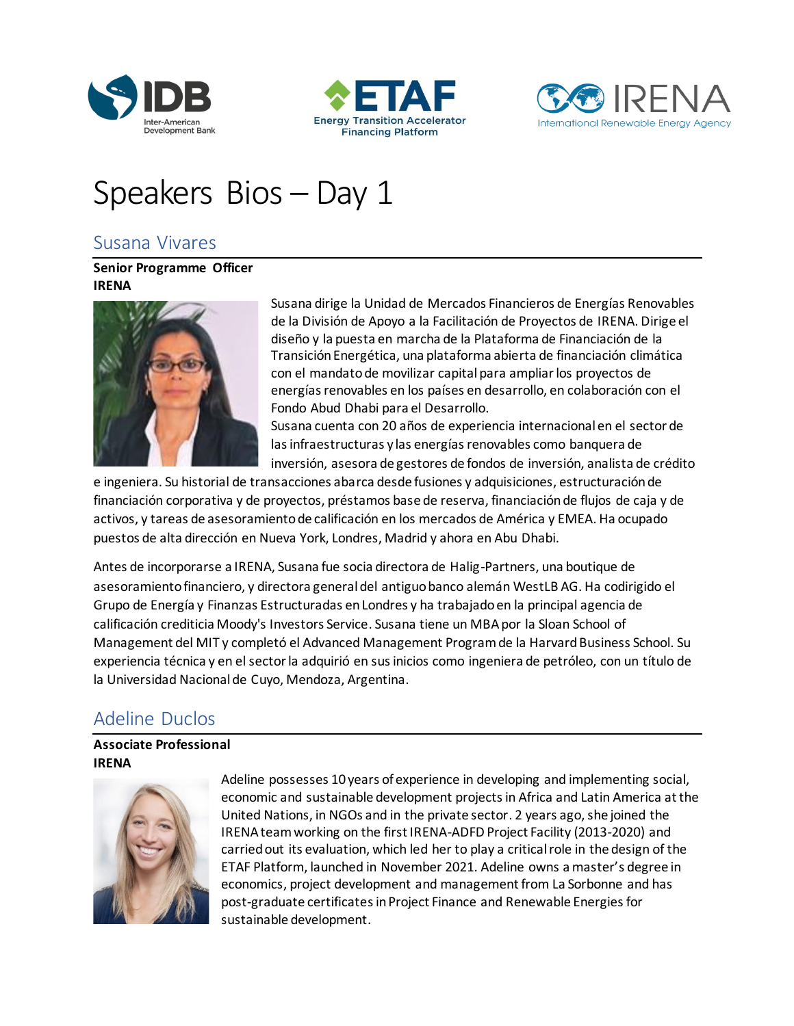





# Speakers Bios – Day 1

## Susana Vivares

**Senior Programme Officer IRENA**



Susana dirige la Unidad de Mercados Financieros de Energías Renovables de la División de Apoyo a la Facilitación de Proyectos de IRENA. Dirige el diseño y la puesta en marcha de la Plataforma de Financiación de la Transición Energética, una plataforma abierta de financiación climática con el mandato de movilizar capital para ampliar los proyectos de energías renovables en los países en desarrollo, en colaboración con el Fondo Abud Dhabi para el Desarrollo.

Susana cuenta con 20 años de experiencia internacional en el sector de las infraestructuras y las energías renovables como banquera de inversión, asesora de gestores de fondos de inversión, analista de crédito

e ingeniera. Su historial de transacciones abarca desde fusiones y adquisiciones, estructuración de financiación corporativa y de proyectos, préstamos base de reserva, financiación de flujos de caja y de activos, y tareas de asesoramiento de calificación en los mercados de América y EMEA. Ha ocupado puestos de alta dirección en Nueva York, Londres, Madrid y ahora en Abu Dhabi.

Antes de incorporarse a IRENA, Susana fue socia directora de Halig-Partners, una boutique de asesoramiento financiero, y directora general del antiguo banco alemán WestLB AG. Ha codirigido el Grupo de Energía y Finanzas Estructuradas en Londres y ha trabajado en la principal agencia de calificación crediticia Moody's Investors Service. Susana tiene un MBA por la Sloan School of Management del MIT y completó el Advanced Management Program de la Harvard Business School. Su experiencia técnica y en el sector la adquirió en sus inicios como ingeniera de petróleo, con un título de la Universidad Nacional de Cuyo, Mendoza, Argentina.

## Adeline Duclos

### **Associate Professional IRENA**



Adeline possesses 10 years of experience in developing and implementing social, economic and sustainable development projects in Africa and Latin America at the United Nations, in NGOs and in the private sector. 2 years ago, she joined the IRENA team working on the first IRENA-ADFD Project Facility (2013-2020) and carried out its evaluation, which led her to play a critical role in the design of the ETAF Platform, launched in November 2021. Adeline owns a master's degree in economics, project development and management from La Sorbonne and has post-graduate certificates in Project Finance and Renewable Energies for sustainable development.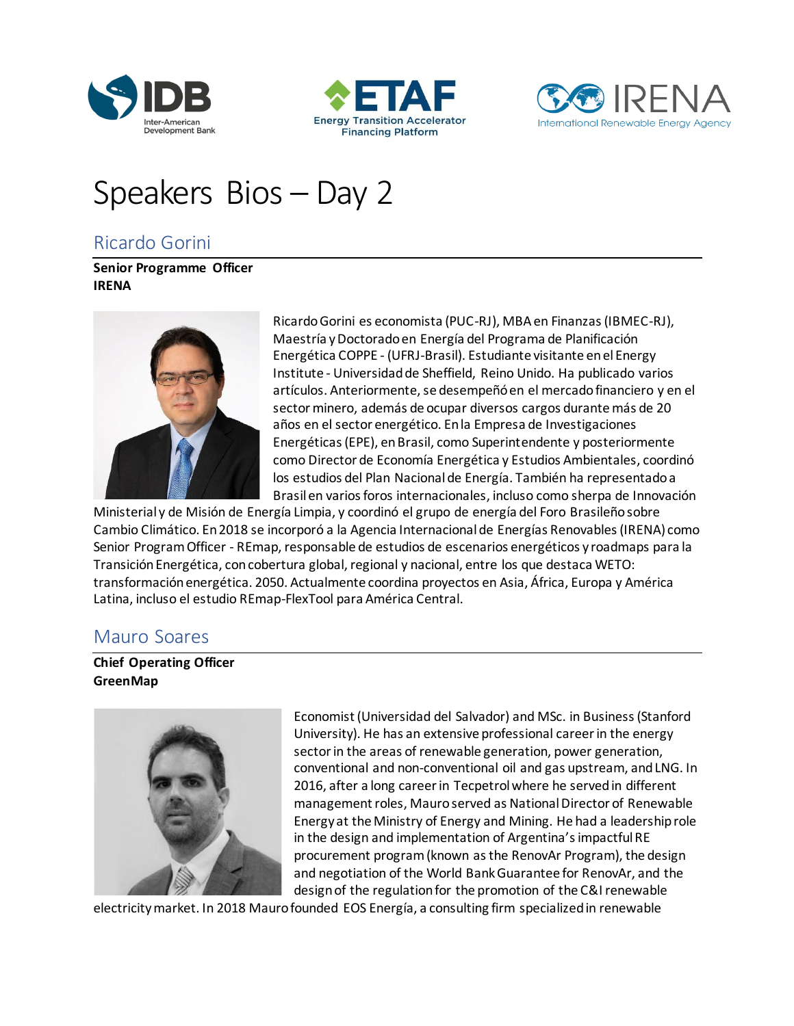





# Speakers Bios – Day 2

## Ricardo Gorini

**Senior Programme Officer IRENA**



Ricardo Gorini es economista (PUC-RJ), MBA en Finanzas (IBMEC-RJ), Maestría y Doctorado en Energía del Programa de Planificación Energética COPPE - (UFRJ-Brasil). Estudiante visitante en el Energy Institute - Universidad de Sheffield, Reino Unido. Ha publicado varios artículos. Anteriormente, se desempeñó en el mercado financiero y en el sector minero, además de ocupar diversos cargos durante más de 20 años en el sector energético. En la Empresa de Investigaciones Energéticas (EPE), en Brasil, como Superintendente y posteriormente como Director de Economía Energética y Estudios Ambientales, coordinó los estudios del Plan Nacional de Energía. También ha representado a Brasil en varios foros internacionales, incluso como sherpa de Innovación

Ministerial y de Misión de Energía Limpia, y coordinó el grupo de energía del Foro Brasileño sobre Cambio Climático. En 2018 se incorporó a la Agencia Internacional de Energías Renovables (IRENA) como Senior Program Officer - REmap, responsable de estudios de escenarios energéticos y roadmaps para la Transición Energética, con cobertura global, regional y nacional, entre los que destaca WETO: transformación energética. 2050. Actualmente coordina proyectos en Asia, África, Europa y América Latina, incluso el estudio REmap-FlexTool para América Central.

## Mauro Soares

**Chief Operating Officer GreenMap**



Economist (Universidad del Salvador) and MSc. in Business (Stanford University). He has an extensive professional career in the energy sector in the areas of renewable generation, power generation, conventional and non-conventional oil and gas upstream, and LNG. In 2016, after a long career in Tecpetrol where he served in different management roles, Mauro served as National Director of Renewable Energy at the Ministry of Energy and Mining. He had a leadership role in the design and implementation of Argentina's impactful RE procurement program (known as the RenovAr Program), the design and negotiation of the World Bank Guarantee for RenovAr, and the design of the regulation for the promotion of the C&I renewable

electricity market. In 2018 Mauro founded EOS Energía, a consulting firm specialized in renewable